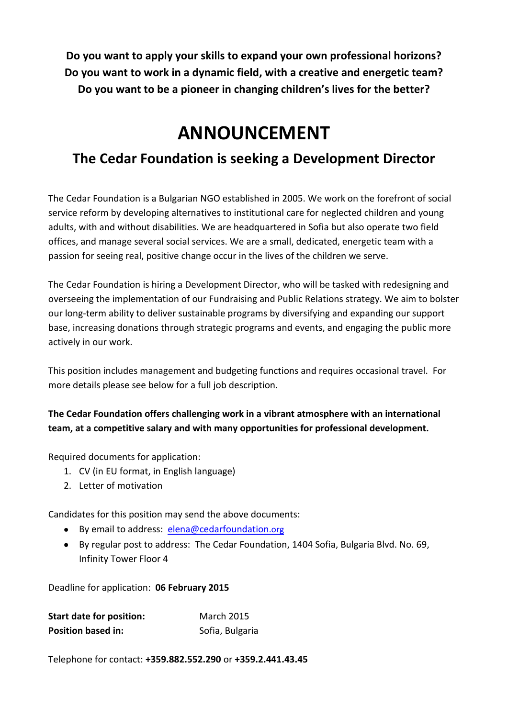**Do you want to apply your skills to expand your own professional horizons? Do you want to work in a dynamic field, with a creative and energetic team? Do you want to be a pioneer in changing children's lives for the better?**

# **ANNOUNCEMENT**

## **The Cedar Foundation is seeking a Development Director**

The Cedar Foundation is a Bulgarian NGO established in 2005. We work on the forefront of social service reform by developing alternatives to institutional care for neglected children and young adults, with and without disabilities. We are headquartered in Sofia but also operate two field offices, and manage several social services. We are a small, dedicated, energetic team with a passion for seeing real, positive change occur in the lives of the children we serve.

The Cedar Foundation is hiring a Development Director, who will be tasked with redesigning and overseeing the implementation of our Fundraising and Public Relations strategy. We aim to bolster our long-term ability to deliver sustainable programs by diversifying and expanding our support base, increasing donations through strategic programs and events, and engaging the public more actively in our work.

This position includes management and budgeting functions and requires occasional travel. For more details please see below for a full job description.

### **The Cedar Foundation offers challenging work in a vibrant atmosphere with an international team, at a competitive salary and with many opportunities for professional development.**

Required documents for application:

- 1. CV (in EU format, in English language)
- 2. Letter of motivation

Candidates for this position may send the above documents:

- By email to address: [elena@cedarfoundation](mailto:elena@cedarfoundation.org).org
- By regular post to address: The Cedar Foundation, 1404 Sofia, Bulgaria Blvd. No. 69, Infinity Tower Floor 4

Deadline for application: **06 February 2015**

| <b>Start date for position:</b> | <b>March 2015</b> |
|---------------------------------|-------------------|
| <b>Position based in:</b>       | Sofia, Bulgaria   |

Telephone for contact: **+359.882.552.290** or **+359.2.441.43.45**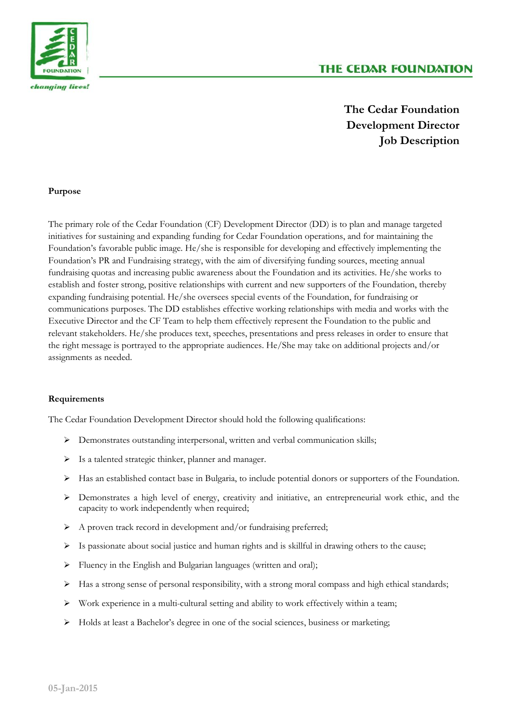

**The Cedar Foundation Development Director Job Description**

#### **Purpose**

The primary role of the Cedar Foundation (CF) Development Director (DD) is to plan and manage targeted initiatives for sustaining and expanding funding for Cedar Foundation operations, and for maintaining the Foundation's favorable public image. He/she is responsible for developing and effectively implementing the Foundation's PR and Fundraising strategy, with the aim of diversifying funding sources, meeting annual fundraising quotas and increasing public awareness about the Foundation and its activities. He/she works to establish and foster strong, positive relationships with current and new supporters of the Foundation, thereby expanding fundraising potential. He/she oversees special events of the Foundation, for fundraising or communications purposes. The DD establishes effective working relationships with media and works with the Executive Director and the CF Team to help them effectively represent the Foundation to the public and relevant stakeholders. He/she produces text, speeches, presentations and press releases in order to ensure that the right message is portrayed to the appropriate audiences. He/She may take on additional projects and/or assignments as needed.

#### **Requirements**

The Cedar Foundation Development Director should hold the following qualifications:

- $\triangleright$  Demonstrates outstanding interpersonal, written and verbal communication skills;
- $\triangleright$  Is a talented strategic thinker, planner and manager.
- $\triangleright$  Has an established contact base in Bulgaria, to include potential donors or supporters of the Foundation.
- Demonstrates a high level of energy, creativity and initiative, an entrepreneurial work ethic, and the capacity to work independently when required;
- $\triangleright$  A proven track record in development and/or fundraising preferred;
- $\triangleright$  Is passionate about social justice and human rights and is skillful in drawing others to the cause;
- Fluency in the English and Bulgarian languages (written and oral);
- $\triangleright$  Has a strong sense of personal responsibility, with a strong moral compass and high ethical standards;
- $\triangleright$  Work experience in a multi-cultural setting and ability to work effectively within a team;
- $\triangleright$  Holds at least a Bachelor's degree in one of the social sciences, business or marketing;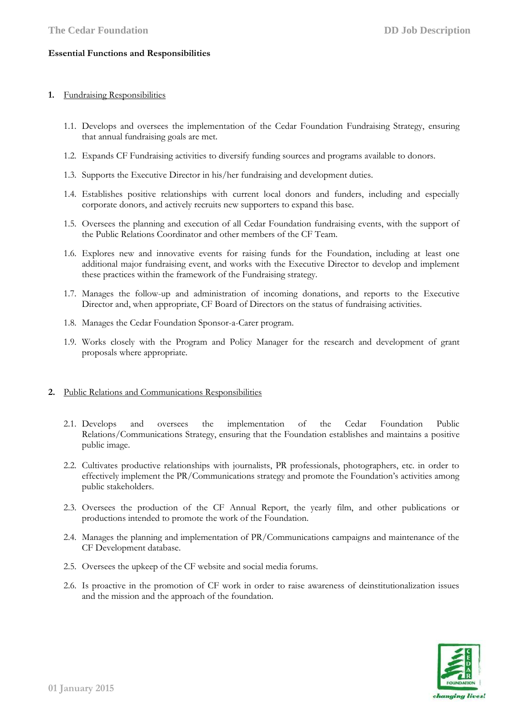#### **Essential Functions and Responsibilities**

#### **1.** Fundraising Responsibilities

- 1.1. Develops and oversees the implementation of the Cedar Foundation Fundraising Strategy, ensuring that annual fundraising goals are met.
- 1.2. Expands CF Fundraising activities to diversify funding sources and programs available to donors.
- 1.3. Supports the Executive Director in his/her fundraising and development duties.
- 1.4. Establishes positive relationships with current local donors and funders, including and especially corporate donors, and actively recruits new supporters to expand this base.
- 1.5. Oversees the planning and execution of all Cedar Foundation fundraising events, with the support of the Public Relations Coordinator and other members of the CF Team.
- 1.6. Explores new and innovative events for raising funds for the Foundation, including at least one additional major fundraising event, and works with the Executive Director to develop and implement these practices within the framework of the Fundraising strategy.
- 1.7. Manages the follow-up and administration of incoming donations, and reports to the Executive Director and, when appropriate, CF Board of Directors on the status of fundraising activities.
- 1.8. Manages the Cedar Foundation Sponsor-a-Carer program.
- 1.9. Works closely with the Program and Policy Manager for the research and development of grant proposals where appropriate.

#### **2.** Public Relations and Communications Responsibilities

- 2.1. Develops and oversees the implementation of the Cedar Foundation Public Relations/Communications Strategy, ensuring that the Foundation establishes and maintains a positive public image.
- 2.2. Cultivates productive relationships with journalists, PR professionals, photographers, etc. in order to effectively implement the PR/Communications strategy and promote the Foundation's activities among public stakeholders.
- 2.3. Oversees the production of the CF Annual Report, the yearly film, and other publications or productions intended to promote the work of the Foundation.
- 2.4. Manages the planning and implementation of PR/Communications campaigns and maintenance of the CF Development database.
- 2.5. Oversees the upkeep of the CF website and social media forums.
- 2.6. Is proactive in the promotion of CF work in order to raise awareness of deinstitutionalization issues and the mission and the approach of the foundation.